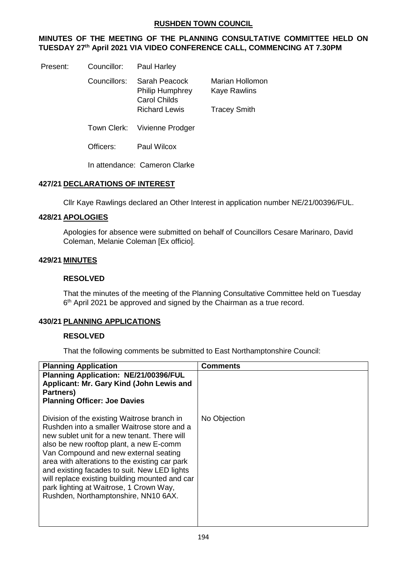## **RUSHDEN TOWN COUNCIL**

# **MINUTES OF THE MEETING OF THE PLANNING CONSULTATIVE COMMITTEE HELD ON TUESDAY 27th April 2021 VIA VIDEO CONFERENCE CALL, COMMENCING AT 7.30PM**

| Present: | Councillor: | <b>Paul Harley</b> |
|----------|-------------|--------------------|
|          |             |                    |

| Councillors: | Sarah Peacock<br><b>Philip Humphrey</b><br>Carol Childs<br><b>Richard Lewis</b> | Marian Hollomon<br><b>Kaye Rawlins</b><br><b>Tracey Smith</b> |
|--------------|---------------------------------------------------------------------------------|---------------------------------------------------------------|
|              | Town Clerk: Vivienne Prodger                                                    |                                                               |
| Officers: .  | Paul Wilcox                                                                     |                                                               |

In attendance: Cameron Clarke

### **427/21 DECLARATIONS OF INTEREST**

Cllr Kaye Rawlings declared an Other Interest in application number NE/21/00396/FUL.

### **428/21 APOLOGIES**

Apologies for absence were submitted on behalf of Councillors Cesare Marinaro, David Coleman, Melanie Coleman [Ex officio].

### **429/21 MINUTES**

### **RESOLVED**

That the minutes of the meeting of the Planning Consultative Committee held on Tuesday 6<sup>th</sup> April 2021 be approved and signed by the Chairman as a true record.

## **430/21 PLANNING APPLICATIONS**

## **RESOLVED**

That the following comments be submitted to East Northamptonshire Council:

| <b>Planning Application</b>                                                                                                                                                                                                                                                                                                                                                                                                                                           | Comments     |
|-----------------------------------------------------------------------------------------------------------------------------------------------------------------------------------------------------------------------------------------------------------------------------------------------------------------------------------------------------------------------------------------------------------------------------------------------------------------------|--------------|
| Planning Application: NE/21/00396/FUL<br>Applicant: Mr. Gary Kind (John Lewis and                                                                                                                                                                                                                                                                                                                                                                                     |              |
| Partners)<br><b>Planning Officer: Joe Davies</b>                                                                                                                                                                                                                                                                                                                                                                                                                      |              |
| Division of the existing Waitrose branch in<br>Rushden into a smaller Waitrose store and a<br>new sublet unit for a new tenant. There will<br>also be new rooftop plant, a new E-comm<br>Van Compound and new external seating<br>area with alterations to the existing car park<br>and existing facades to suit. New LED lights<br>will replace existing building mounted and car<br>park lighting at Waitrose, 1 Crown Way,<br>Rushden, Northamptonshire, NN10 6AX. | No Objection |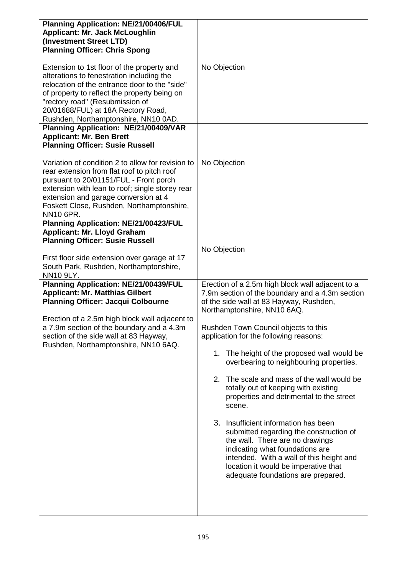| <b>Planning Application: NE/21/00406/FUL</b><br><b>Applicant: Mr. Jack McLoughlin</b><br>(Investment Street LTD)<br><b>Planning Officer: Chris Spong</b><br>Extension to 1st floor of the property and<br>alterations to fenestration including the<br>relocation of the entrance door to the "side"<br>of property to reflect the property being on<br>"rectory road" (Resubmission of<br>20/01688/FUL) at 18A Rectory Road,<br>Rushden, Northamptonshire, NN10 0AD.                                                                                | No Objection                                                                                                                                                                                                                                                                                                                                                                                                                                                                                                                                                                                                                                                                                                                                                                                                |
|------------------------------------------------------------------------------------------------------------------------------------------------------------------------------------------------------------------------------------------------------------------------------------------------------------------------------------------------------------------------------------------------------------------------------------------------------------------------------------------------------------------------------------------------------|-------------------------------------------------------------------------------------------------------------------------------------------------------------------------------------------------------------------------------------------------------------------------------------------------------------------------------------------------------------------------------------------------------------------------------------------------------------------------------------------------------------------------------------------------------------------------------------------------------------------------------------------------------------------------------------------------------------------------------------------------------------------------------------------------------------|
| Planning Application: NE/21/00409/VAR<br><b>Applicant: Mr. Ben Brett</b><br><b>Planning Officer: Susie Russell</b><br>Variation of condition 2 to allow for revision to<br>rear extension from flat roof to pitch roof<br>pursuant to 20/01151/FUL - Front porch<br>extension with lean to roof; single storey rear<br>extension and garage conversion at 4<br>Foskett Close, Rushden, Northamptonshire,<br><b>NN10 6PR.</b>                                                                                                                         | No Objection                                                                                                                                                                                                                                                                                                                                                                                                                                                                                                                                                                                                                                                                                                                                                                                                |
| Planning Application: NE/21/00423/FUL<br><b>Applicant: Mr. Lloyd Graham</b><br><b>Planning Officer: Susie Russell</b><br>First floor side extension over garage at 17<br>South Park, Rushden, Northamptonshire,<br><b>NN10 9LY.</b><br>Planning Application: NE/21/00439/FUL<br><b>Applicant: Mr. Matthias Gilbert</b><br><b>Planning Officer: Jacqui Colbourne</b><br>Erection of a 2.5m high block wall adjacent to<br>a 7.9m section of the boundary and a 4.3m<br>section of the side wall at 83 Hayway,<br>Rushden, Northamptonshire, NN10 6AQ. | No Objection<br>Erection of a 2.5m high block wall adjacent to a<br>7.9m section of the boundary and a 4.3m section<br>of the side wall at 83 Hayway, Rushden,<br>Northamptonshire, NN10 6AQ.<br>Rushden Town Council objects to this<br>application for the following reasons:<br>1. The height of the proposed wall would be<br>overbearing to neighbouring properties.<br>The scale and mass of the wall would be<br>2.<br>totally out of keeping with existing<br>properties and detrimental to the street<br>scene.<br>3. Insufficient information has been<br>submitted regarding the construction of<br>the wall. There are no drawings<br>indicating what foundations are<br>intended. With a wall of this height and<br>location it would be imperative that<br>adequate foundations are prepared. |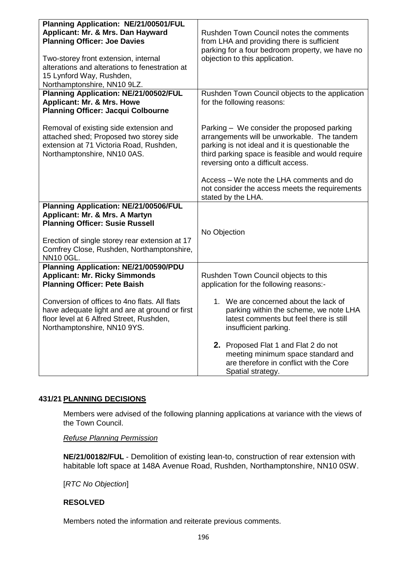| Planning Application: NE/21/00501/FUL          |                                                                                           |
|------------------------------------------------|-------------------------------------------------------------------------------------------|
| Applicant: Mr. & Mrs. Dan Hayward              | Rushden Town Council notes the comments                                                   |
| <b>Planning Officer: Joe Davies</b>            | from LHA and providing there is sufficient                                                |
|                                                | parking for a four bedroom property, we have no                                           |
| Two-storey front extension, internal           | objection to this application.                                                            |
| alterations and alterations to fenestration at |                                                                                           |
| 15 Lynford Way, Rushden,                       |                                                                                           |
| Northamptonshire, NN10 9LZ.                    |                                                                                           |
| <b>Planning Application: NE/21/00502/FUL</b>   | Rushden Town Council objects to the application                                           |
| <b>Applicant: Mr. &amp; Mrs. Howe</b>          | for the following reasons:                                                                |
| <b>Planning Officer: Jacqui Colbourne</b>      |                                                                                           |
|                                                |                                                                                           |
| Removal of existing side extension and         |                                                                                           |
| attached shed; Proposed two storey side        | Parking – We consider the proposed parking<br>arrangements will be unworkable. The tandem |
| extension at 71 Victoria Road, Rushden,        |                                                                                           |
| Northamptonshire, NN10 0AS.                    | parking is not ideal and it is questionable the                                           |
|                                                | third parking space is feasible and would require                                         |
|                                                | reversing onto a difficult access.                                                        |
|                                                |                                                                                           |
|                                                | Access – We note the LHA comments and do                                                  |
|                                                | not consider the access meets the requirements                                            |
|                                                | stated by the LHA.                                                                        |
| Planning Application: NE/21/00506/FUL          |                                                                                           |
| Applicant: Mr. & Mrs. A Martyn                 |                                                                                           |
| <b>Planning Officer: Susie Russell</b>         |                                                                                           |
|                                                | No Objection                                                                              |
| Erection of single storey rear extension at 17 |                                                                                           |
| Comfrey Close, Rushden, Northamptonshire,      |                                                                                           |
| <b>NN10 0GL.</b>                               |                                                                                           |
| Planning Application: NE/21/00590/PDU          |                                                                                           |
| <b>Applicant: Mr. Ricky Simmonds</b>           | Rushden Town Council objects to this                                                      |
| <b>Planning Officer: Pete Baish</b>            | application for the following reasons:-                                                   |
|                                                |                                                                                           |
| Conversion of offices to 4no flats. All flats  | 1. We are concerned about the lack of                                                     |
| have adequate light and are at ground or first | parking within the scheme, we note LHA                                                    |
| floor level at 6 Alfred Street, Rushden,       | latest comments but feel there is still                                                   |
| Northamptonshire, NN10 9YS.                    | insufficient parking.                                                                     |
|                                                |                                                                                           |
|                                                | 2. Proposed Flat 1 and Flat 2 do not                                                      |
|                                                | meeting minimum space standard and                                                        |
|                                                | are therefore in conflict with the Core                                                   |
|                                                | Spatial strategy.                                                                         |

## **431/21 PLANNING DECISIONS**

Members were advised of the following planning applications at variance with the views of the Town Council.

### *Refuse Planning Permission*

**NE/21/00182/FUL** - Demolition of existing lean-to, construction of rear extension with habitable loft space at 148A Avenue Road, Rushden, Northamptonshire, NN10 0SW.

[*RTC No Objection*]

### **RESOLVED**

Members noted the information and reiterate previous comments.